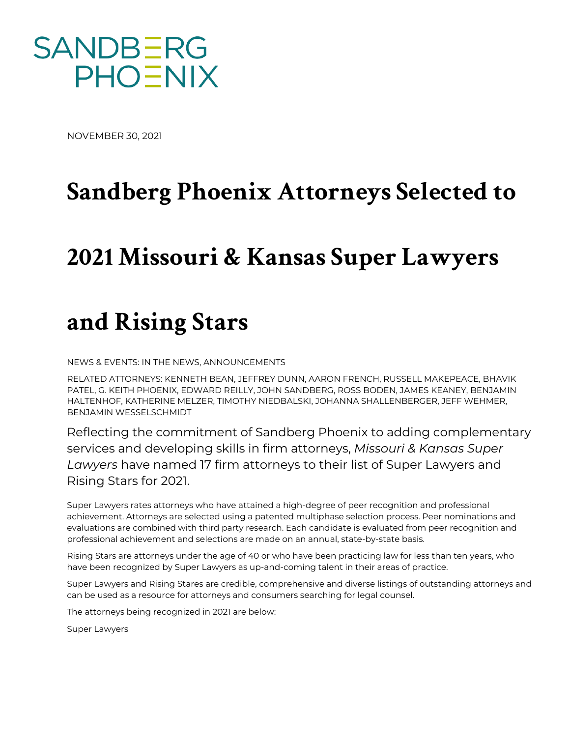

NOVEMBER 30, 2021

## **Sandberg Phoenix Attorneys Selected to**

## **2021 Missouri & Kansas Super Lawyers**

## **and Rising Stars**

NEWS & EVENTS: IN THE NEWS, ANNOUNCEMENTS

RELATED ATTORNEYS: KENNETH BEAN, JEFFREY DUNN, AARON FRENCH, RUSSELL MAKEPEACE, BHAVIK PATEL, G. KEITH PHOENIX, EDWARD REILLY, JOHN SANDBERG, ROSS BODEN, JAMES KEANEY, BENJAMIN HALTENHOF, KATHERINE MELZER, TIMOTHY NIEDBALSKI, JOHANNA SHALLENBERGER, JEFF WEHMER, BENJAMIN WESSELSCHMIDT

Reflecting the commitment of Sandberg Phoenix to adding complementary services and developing skills in firm attorneys, *Missouri & Kansas Super Lawyers* have named 17 firm attorneys to their list of Super Lawyers and Rising Stars for 2021.

Super Lawyers rates attorneys who have attained a high-degree of peer recognition and professional achievement. Attorneys are selected using a patented multiphase selection process. Peer nominations and evaluations are combined with third party research. Each candidate is evaluated from peer recognition and professional achievement and selections are made on an annual, state-by-state basis.

Rising Stars are attorneys under the age of 40 or who have been practicing law for less than ten years, who have been recognized by Super Lawyers as up-and-coming talent in their areas of practice.

Super Lawyers and Rising Stares are credible, comprehensive and diverse listings of outstanding attorneys and can be used as a resource for attorneys and consumers searching for legal counsel.

The attorneys being recognized in 2021 are below:

Super Lawyers